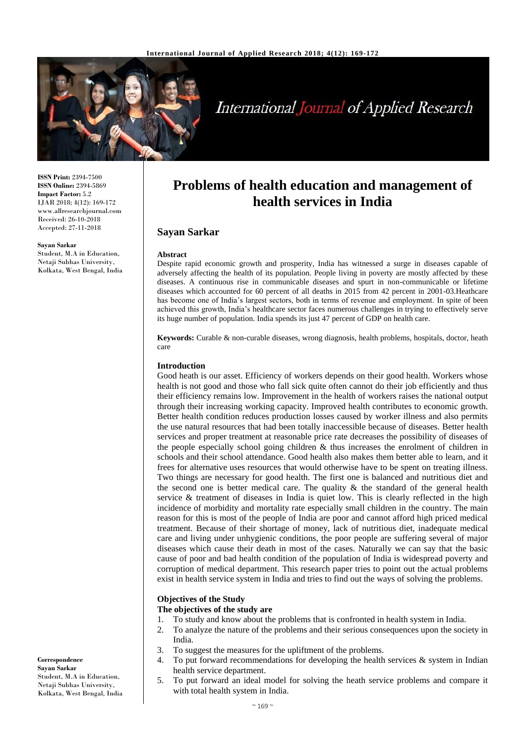

# **International Journal of Applied Research**

**ISSN Print:** 2394-7500 **ISSN Online:** 2394-5869 **Impact Factor:** 5.2 IJAR 2018; 4(12): 169-172 www.allresearchjournal.com Received: 26-10-2018 Accepted: 27-11-2018

**Sayan Sarkar** Student, M.A in Education, Netaji Subhas University, Kolkata, West Bengal, India

# **Problems of health education and management of health services in India**

# **Sayan Sarkar**

#### **Abstract**

Despite rapid economic growth and prosperity, India has witnessed a surge in diseases capable of adversely affecting the health of its population. People living in poverty are mostly affected by these diseases. A continuous rise in communicable diseases and spurt in non-communicable or lifetime diseases which accounted for 60 percent of all deaths in 2015 from 42 percent in 2001-03.Heathcare has become one of India's largest sectors, both in terms of revenue and employment. In spite of been achieved this growth, India's healthcare sector faces numerous challenges in trying to effectively serve its huge number of population. India spends its just 47 percent of GDP on health care.

**Keywords:** Curable & non-curable diseases, wrong diagnosis, health problems, hospitals, doctor, heath care

#### **Introduction**

Good heath is our asset. Efficiency of workers depends on their good health. Workers whose health is not good and those who fall sick quite often cannot do their job efficiently and thus their efficiency remains low. Improvement in the health of workers raises the national output through their increasing working capacity. Improved health contributes to economic growth. Better health condition reduces production losses caused by worker illness and also permits the use natural resources that had been totally inaccessible because of diseases. Better health services and proper treatment at reasonable price rate decreases the possibility of diseases of the people especially school going children & thus increases the enrolment of children in schools and their school attendance. Good health also makes them better able to learn, and it frees for alternative uses resources that would otherwise have to be spent on treating illness. Two things are necessary for good health. The first one is balanced and nutritious diet and the second one is better medical care. The quality  $\&$  the standard of the general health service & treatment of diseases in India is quiet low. This is clearly reflected in the high incidence of morbidity and mortality rate especially small children in the country. The main reason for this is most of the people of India are poor and cannot afford high priced medical treatment. Because of their shortage of money, lack of nutritious diet, inadequate medical care and living under unhygienic conditions, the poor people are suffering several of major diseases which cause their death in most of the cases. Naturally we can say that the basic cause of poor and bad health condition of the population of India is widespread poverty and corruption of medical department. This research paper tries to point out the actual problems exist in health service system in India and tries to find out the ways of solving the problems.

#### **Objectives of the Study**

#### **The objectives of the study are**

- 1. To study and know about the problems that is confronted in health system in India.
- 2. To analyze the nature of the problems and their serious consequences upon the society in India.
- 3. To suggest the measures for the upliftment of the problems.
- 4. To put forward recommendations for developing the health services  $\&$  system in Indian health service department.
- 5. To put forward an ideal model for solving the heath service problems and compare it with total health system in India.

**Correspondence Sayan Sarkar** Student, M.A in Education, Netaji Subhas University, Kolkata, West Bengal, India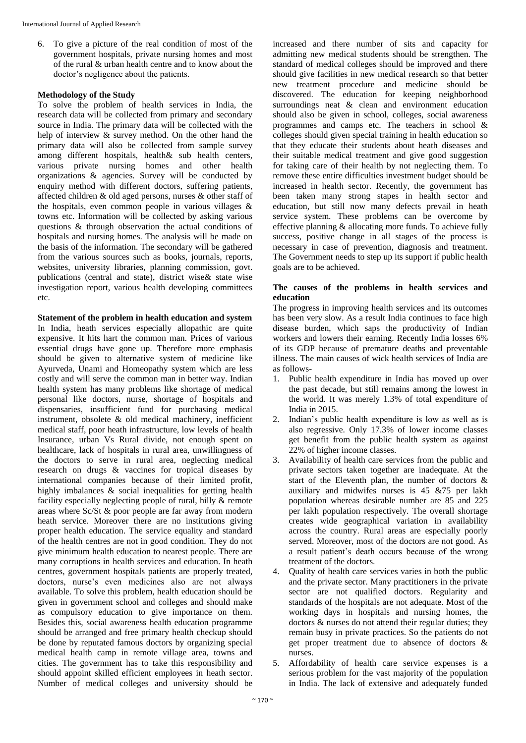6. To give a picture of the real condition of most of the government hospitals, private nursing homes and most of the rural & urban health centre and to know about the doctor's negligence about the patients.

# **Methodology of the Study**

To solve the problem of health services in India, the research data will be collected from primary and secondary source in India. The primary data will be collected with the help of interview & survey method. On the other hand the primary data will also be collected from sample survey among different hospitals, health& sub health centers, various private nursing homes and other health organizations & agencies. Survey will be conducted by enquiry method with different doctors, suffering patients, affected children & old aged persons, nurses & other staff of the hospitals, even common people in various villages & towns etc. Information will be collected by asking various questions & through observation the actual conditions of hospitals and nursing homes. The analysis will be made on the basis of the information. The secondary will be gathered from the various sources such as books, journals, reports, websites, university libraries, planning commission, govt. publications (central and state), district wise& state wise investigation report, various health developing committees etc.

**Statement of the problem in health education and system**

In India, heath services especially allopathic are quite expensive. It hits hart the common man. Prices of various essential drugs have gone up. Therefore more emphasis should be given to alternative system of medicine like Ayurveda, Unami and Homeopathy system which are less costly and will serve the common man in better way. Indian health system has many problems like shortage of medical personal like doctors, nurse, shortage of hospitals and dispensaries, insufficient fund for purchasing medical instrument, obsolete & old medical machinery, inefficient medical staff, poor heath infrastructure, low levels of health Insurance, urban Vs Rural divide, not enough spent on healthcare, lack of hospitals in rural area, unwillingness of the doctors to serve in rural area, neglecting medical research on drugs & vaccines for tropical diseases by international companies because of their limited profit, highly imbalances & social inequalities for getting health facility especially neglecting people of rural, hilly & remote areas where Sc/St & poor people are far away from modern heath service. Moreover there are no institutions giving proper health education. The service equality and standard of the health centres are not in good condition. They do not give minimum health education to nearest people. There are many corruptions in health services and education. In heath centres, government hospitals patients are properly treated, doctors, nurse's even medicines also are not always available. To solve this problem, health education should be given in government school and colleges and should make as compulsory education to give importance on them. Besides this, social awareness health education programme should be arranged and free primary health checkup should be done by reputated famous doctors by organizing special medical health camp in remote village area, towns and cities. The government has to take this responsibility and should appoint skilled efficient employees in heath sector. Number of medical colleges and university should be

increased and there number of sits and capacity for admitting new medical students should be strengthen. The standard of medical colleges should be improved and there should give facilities in new medical research so that better new treatment procedure and medicine should be discovered. The education for keeping neighborhood surroundings neat & clean and environment education should also be given in school, colleges, social awareness programmes and camps etc. The teachers in school  $\&$ colleges should given special training in health education so that they educate their students about heath diseases and their suitable medical treatment and give good suggestion for taking care of their health by not neglecting them. To remove these entire difficulties investment budget should be increased in health sector. Recently, the government has been taken many strong stapes in health sector and education, but still now many defects prevail in heath service system. These problems can be overcome by effective planning & allocating more funds. To achieve fully success, positive change in all stages of the process is necessary in case of prevention, diagnosis and treatment. The Government needs to step up its support if public health goals are to be achieved.

#### **The causes of the problems in health services and education**

The progress in improving health services and its outcomes has been very slow. As a result India continues to face high disease burden, which saps the productivity of Indian workers and lowers their earning. Recently India losses 6% of its GDP because of premature deaths and preventable illness. The main causes of wick health services of India are as follows-

- 1. Public health expenditure in India has moved up over the past decade, but still remains among the lowest in the world. It was merely 1.3% of total expenditure of India in 2015.
- 2. Indian's public health expenditure is low as well as is also regressive. Only 17.3% of lower income classes get benefit from the public health system as against 22% of higher income classes.
- 3. Availability of health care services from the public and private sectors taken together are inadequate. At the start of the Eleventh plan, the number of doctors & auxiliary and midwifes nurses is 45 &75 per lakh population whereas desirable number are 85 and 225 per lakh population respectively. The overall shortage creates wide geographical variation in availability across the country. Rural areas are especially poorly served. Moreover, most of the doctors are not good. As a result patient's death occurs because of the wrong treatment of the doctors.
- 4. Quality of health care services varies in both the public and the private sector. Many practitioners in the private sector are not qualified doctors. Regularity and standards of the hospitals are not adequate. Most of the working days in hospitals and nursing homes, the doctors & nurses do not attend their regular duties; they remain busy in private practices. So the patients do not get proper treatment due to absence of doctors & nurses.
- 5. Affordability of health care service expenses is a serious problem for the vast majority of the population in India. The lack of extensive and adequately funded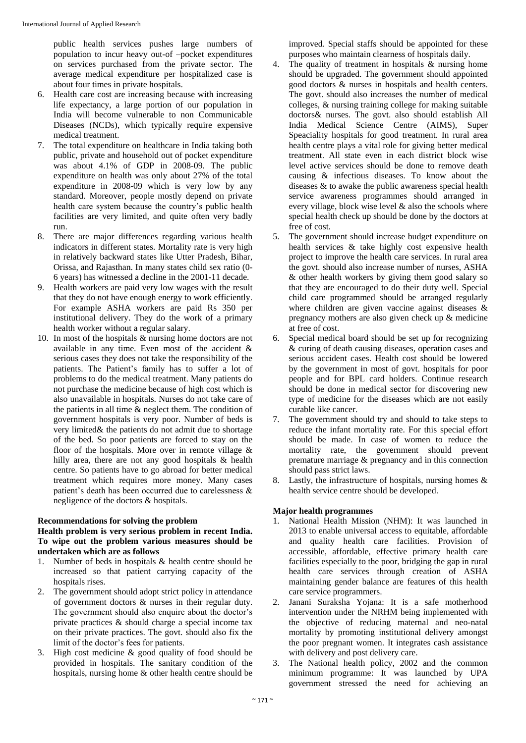public health services pushes large numbers of population to incur heavy out-of –pocket expenditures on services purchased from the private sector. The average medical expenditure per hospitalized case is about four times in private hospitals.

- 6. Health care cost are increasing because with increasing life expectancy, a large portion of our population in India will become vulnerable to non Communicable Diseases (NCDs), which typically require expensive medical treatment.
- 7. The total expenditure on healthcare in India taking both public, private and household out of pocket expenditure was about 4.1% of GDP in 2008-09. The public expenditure on health was only about 27% of the total expenditure in 2008-09 which is very low by any standard. Moreover, people mostly depend on private health care system because the country's public health facilities are very limited, and quite often very badly run.
- 8. There are major differences regarding various health indicators in different states. Mortality rate is very high in relatively backward states like Utter Pradesh, Bihar, Orissa, and Rajasthan. In many states child sex ratio (0- 6 years) has witnessed a decline in the 2001-11 decade.
- 9. Health workers are paid very low wages with the result that they do not have enough energy to work efficiently. For example ASHA workers are paid Rs 350 per institutional delivery. They do the work of a primary health worker without a regular salary.
- 10. In most of the hospitals & nursing home doctors are not available in any time. Even most of the accident & serious cases they does not take the responsibility of the patients. The Patient's family has to suffer a lot of problems to do the medical treatment. Many patients do not purchase the medicine because of high cost which is also unavailable in hospitals. Nurses do not take care of the patients in all time & neglect them. The condition of government hospitals is very poor. Number of beds is very limited& the patients do not admit due to shortage of the bed. So poor patients are forced to stay on the floor of the hospitals. More over in remote village  $\&$ hilly area, there are not any good hospitals & health centre. So patients have to go abroad for better medical treatment which requires more money. Many cases patient's death has been occurred due to carelessness & negligence of the doctors & hospitals.

# **Recommendations for solving the problem**

# **Health problem is very serious problem in recent India. To wipe out the problem various measures should be undertaken which are as follows**

- 1. Number of beds in hospitals & health centre should be increased so that patient carrying capacity of the hospitals rises.
- 2. The government should adopt strict policy in attendance of government doctors & nurses in their regular duty. The government should also enquire about the doctor's private practices & should charge a special income tax on their private practices. The govt. should also fix the limit of the doctor's fees for patients.
- 3. High cost medicine & good quality of food should be provided in hospitals. The sanitary condition of the hospitals, nursing home & other health centre should be

improved. Special staffs should be appointed for these purposes who maintain clearness of hospitals daily.

- 4. The quality of treatment in hospitals & nursing home should be upgraded. The government should appointed good doctors & nurses in hospitals and health centers. The govt. should also increases the number of medical colleges, & nursing training college for making suitable doctors& nurses. The govt. also should establish All India Medical Science Centre (AIMS), Super Speaciality hospitals for good treatment. In rural area health centre plays a vital role for giving better medical treatment. All state even in each district block wise level active services should be done to remove death causing & infectious diseases. To know about the diseases & to awake the public awareness special health service awareness programmes should arranged in every village, block wise level & also the schools where special health check up should be done by the doctors at free of cost.
- 5. The government should increase budget expenditure on health services & take highly cost expensive health project to improve the health care services. In rural area the govt. should also increase number of nurses, ASHA & other health workers by giving them good salary so that they are encouraged to do their duty well. Special child care programmed should be arranged regularly where children are given vaccine against diseases & pregnancy mothers are also given check up & medicine at free of cost.
- 6. Special medical board should be set up for recognizing & curing of death causing diseases, operation cases and serious accident cases. Health cost should be lowered by the government in most of govt. hospitals for poor people and for BPL card holders. Continue research should be done in medical sector for discovering new type of medicine for the diseases which are not easily curable like cancer.
- 7. The government should try and should to take steps to reduce the infant mortality rate. For this special effort should be made. In case of women to reduce the mortality rate, the government should prevent premature marriage & pregnancy and in this connection should pass strict laws.
- 8. Lastly, the infrastructure of hospitals, nursing homes & health service centre should be developed.

# **Major health programmes**

- 1. National Health Mission (NHM): It was launched in 2013 to enable universal access to equitable, affordable and quality health care facilities. Provision of accessible, affordable, effective primary health care facilities especially to the poor, bridging the gap in rural health care services through creation of ASHA maintaining gender balance are features of this health care service programmers.
- 2. Janani Suraksha Yojana: It is a safe motherhood intervention under the NRHM being implemented with the objective of reducing maternal and neo-natal mortality by promoting institutional delivery amongst the poor pregnant women. It integrates cash assistance with delivery and post delivery care.
- 3. The National health policy, 2002 and the common minimum programme: It was launched by UPA government stressed the need for achieving an